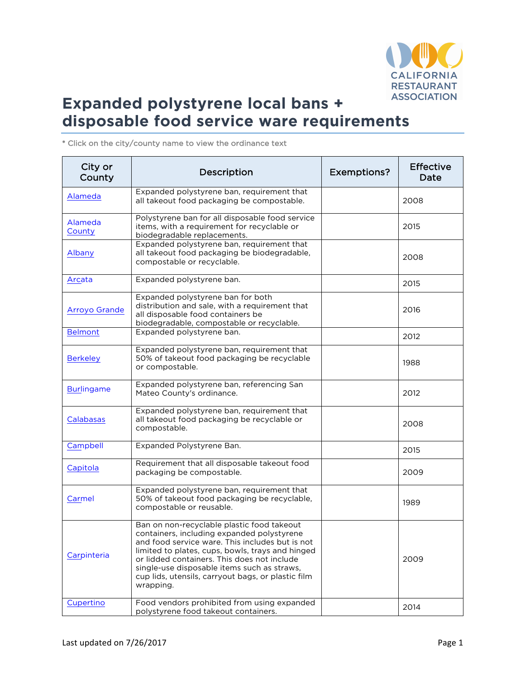

| City or<br>County    | Description                                                                                                                                                                                                                                                                                                                                                      | Exemptions? | <b>Effective</b><br>Date |
|----------------------|------------------------------------------------------------------------------------------------------------------------------------------------------------------------------------------------------------------------------------------------------------------------------------------------------------------------------------------------------------------|-------------|--------------------------|
| Alameda              | Expanded polystyrene ban, requirement that<br>all takeout food packaging be compostable.                                                                                                                                                                                                                                                                         |             | 2008                     |
| Alameda<br>County    | Polystyrene ban for all disposable food service<br>items, with a requirement for recyclable or<br>biodegradable replacements.                                                                                                                                                                                                                                    |             | 2015                     |
| Albany               | Expanded polystyrene ban, requirement that<br>all takeout food packaging be biodegradable,<br>compostable or recyclable.                                                                                                                                                                                                                                         |             | 2008                     |
| Arcata               | Expanded polystyrene ban.                                                                                                                                                                                                                                                                                                                                        |             | 2015                     |
| <b>Arroyo Grande</b> | Expanded polystyrene ban for both<br>distribution and sale, with a requirement that<br>all disposable food containers be<br>biodegradable, compostable or recyclable.                                                                                                                                                                                            |             | 2016                     |
| <b>Belmont</b>       | Expanded polystyrene ban.                                                                                                                                                                                                                                                                                                                                        |             | 2012                     |
| <b>Berkeley</b>      | Expanded polystyrene ban, requirement that<br>50% of takeout food packaging be recyclable<br>or compostable.                                                                                                                                                                                                                                                     |             | 1988                     |
| <b>Burlingame</b>    | Expanded polystyrene ban, referencing San<br>Mateo County's ordinance.                                                                                                                                                                                                                                                                                           |             | 2012                     |
| Calabasas            | Expanded polystyrene ban, requirement that<br>all takeout food packaging be recyclable or<br>compostable.                                                                                                                                                                                                                                                        |             | 2008                     |
| Campbell             | Expanded Polystyrene Ban.                                                                                                                                                                                                                                                                                                                                        |             | 2015                     |
| Capitola             | Requirement that all disposable takeout food<br>packaging be compostable.                                                                                                                                                                                                                                                                                        |             | 2009                     |
| Carmel               | Expanded polystyrene ban, requirement that<br>50% of takeout food packaging be recyclable,<br>compostable or reusable.                                                                                                                                                                                                                                           |             | 1989                     |
| Carpinteria          | Ban on non-recyclable plastic food takeout<br>containers, including expanded polystyrene<br>and food service ware. This includes but is not<br>limited to plates, cups, bowls, trays and hinged<br>or lidded containers. This does not include<br>single-use disposable items such as straws,<br>cup lids, utensils, carryout bags, or plastic film<br>wrapping. |             | 2009                     |
| Cupertino            | Food vendors prohibited from using expanded<br>polystyrene food takeout containers.                                                                                                                                                                                                                                                                              |             | 2014                     |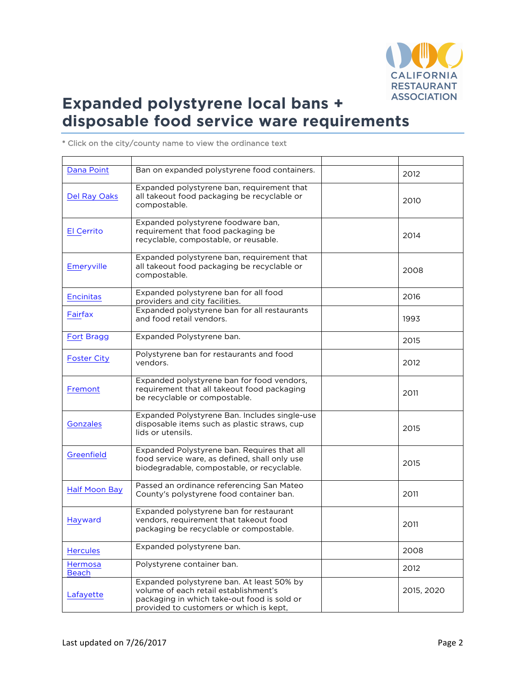

| Dana Point              | Ban on expanded polystyrene food containers.                                                                                                                                 | 2012       |
|-------------------------|------------------------------------------------------------------------------------------------------------------------------------------------------------------------------|------------|
| Del Ray Oaks            | Expanded polystyrene ban, requirement that<br>all takeout food packaging be recyclable or<br>compostable.                                                                    | 2010       |
| <b>El Cerrito</b>       | Expanded polystyrene foodware ban,<br>requirement that food packaging be<br>recyclable, compostable, or reusable.                                                            | 2014       |
| <b>Emeryville</b>       | Expanded polystyrene ban, requirement that<br>all takeout food packaging be recyclable or<br>compostable.                                                                    | 2008       |
| <b>Encinitas</b>        | Expanded polystyrene ban for all food<br>providers and city facilities.                                                                                                      | 2016       |
| Fairfax                 | Expanded polystyrene ban for all restaurants<br>and food retail vendors.                                                                                                     | 1993       |
| <b>Fort Bragg</b>       | Expanded Polystyrene ban.                                                                                                                                                    | 2015       |
| <b>Foster City</b>      | Polystyrene ban for restaurants and food<br>vendors.                                                                                                                         | 2012       |
| Fremont                 | Expanded polystyrene ban for food vendors,<br>requirement that all takeout food packaging<br>be recyclable or compostable.                                                   | 2011       |
| Gonzales                | Expanded Polystyrene Ban. Includes single-use<br>disposable items such as plastic straws, cup<br>lids or utensils.                                                           | 2015       |
| Greenfield              | Expanded Polystyrene ban. Requires that all<br>food service ware, as defined, shall only use<br>biodegradable, compostable, or recyclable.                                   | 2015       |
| <b>Half Moon Bay</b>    | Passed an ordinance referencing San Mateo<br>County's polystyrene food container ban.                                                                                        | 2011       |
| Hayward                 | Expanded polystyrene ban for restaurant<br>vendors, requirement that takeout food<br>packaging be recyclable or compostable.                                                 | 2011       |
| <b>Hercules</b>         | Expanded polystyrene ban.                                                                                                                                                    | 2008       |
| Hermosa<br><b>Beach</b> | Polystyrene container ban.                                                                                                                                                   | 2012       |
| Lafayette               | Expanded polystyrene ban. At least 50% by<br>volume of each retail establishment's<br>packaging in which take-out food is sold or<br>provided to customers or which is kept, | 2015, 2020 |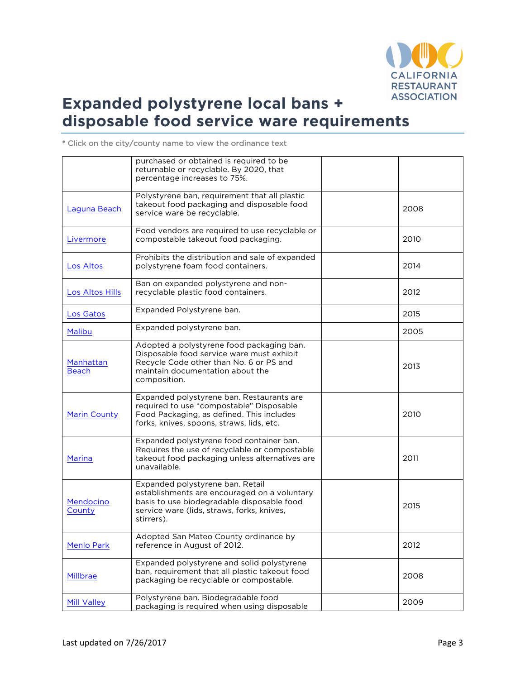

|                           | purchased or obtained is required to be<br>returnable or recyclable. By 2020, that<br>percentage increases to 75%.                                                                         |      |
|---------------------------|--------------------------------------------------------------------------------------------------------------------------------------------------------------------------------------------|------|
| Laguna Beach              | Polystyrene ban, requirement that all plastic<br>takeout food packaging and disposable food<br>service ware be recyclable.                                                                 | 2008 |
| Livermore                 | Food vendors are required to use recyclable or<br>compostable takeout food packaging.                                                                                                      | 2010 |
| Los Altos                 | Prohibits the distribution and sale of expanded<br>polystyrene foam food containers.                                                                                                       | 2014 |
| Los Altos Hills           | Ban on expanded polystyrene and non-<br>recyclable plastic food containers.                                                                                                                | 2012 |
| Los Gatos                 | Expanded Polystyrene ban.                                                                                                                                                                  | 2015 |
| Malibu                    | Expanded polystyrene ban.                                                                                                                                                                  | 2005 |
| Manhattan<br><b>Beach</b> | Adopted a polystyrene food packaging ban.<br>Disposable food service ware must exhibit<br>Recycle Code other than No. 6 or PS and<br>maintain documentation about the<br>composition.      | 2013 |
| <b>Marin County</b>       | Expanded polystyrene ban. Restaurants are<br>required to use "compostable" Disposable<br>Food Packaging, as defined. This includes<br>forks, knives, spoons, straws, lids, etc.            | 2010 |
| Marina                    | Expanded polystyrene food container ban.<br>Requires the use of recyclable or compostable<br>takeout food packaging unless alternatives are<br>unavailable.                                | 2011 |
| Mendocino<br>County       | Expanded polystyrene ban. Retail<br>establishments are encouraged on a voluntary<br>basis to use biodegradable disposable food<br>service ware (lids, straws, forks, knives,<br>stirrers). | 2015 |
| <b>Menlo Park</b>         | Adopted San Mateo County ordinance by<br>reference in August of 2012.                                                                                                                      | 2012 |
| Millbrae                  | Expanded polystyrene and solid polystyrene<br>ban, requirement that all plastic takeout food<br>packaging be recyclable or compostable.                                                    | 2008 |
| <b>Mill Valley</b>        | Polystyrene ban. Biodegradable food<br>packaging is required when using disposable                                                                                                         | 2009 |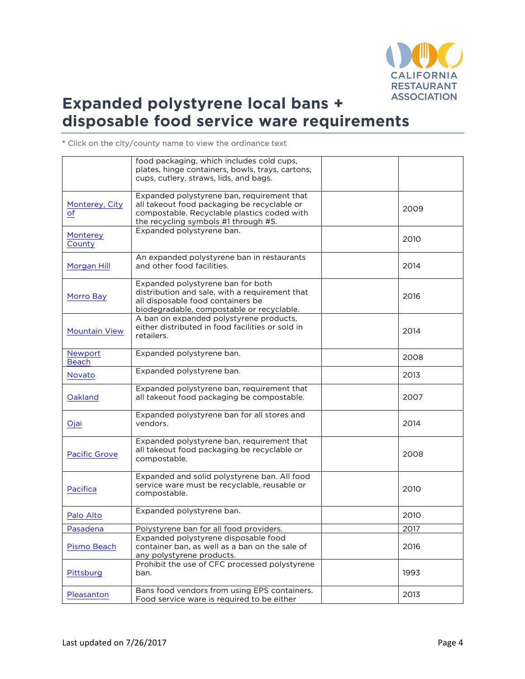

|                         | food packaging, which includes cold cups,<br>plates, hinge containers, bowls, trays, cartons,<br>cups, cutlery, straws, lids, and bags.                                          |      |
|-------------------------|----------------------------------------------------------------------------------------------------------------------------------------------------------------------------------|------|
| Monterey, City<br>of    | Expanded polystyrene ban, requirement that<br>all takeout food packaging be recyclable or<br>compostable. Recyclable plastics coded with<br>the recycling symbols #1 through #5. | 2009 |
| Monterey<br>County      | Expanded polystyrene ban.                                                                                                                                                        | 2010 |
| <b>Morgan Hill</b>      | An expanded polystyrene ban in restaurants<br>and other food facilities.                                                                                                         | 2014 |
| Morro Bay               | Expanded polystyrene ban for both<br>distribution and sale, with a requirement that<br>all disposable food containers be<br>biodegradable, compostable or recyclable.            | 2016 |
| <b>Mountain View</b>    | A ban on expanded polystyrene products,<br>either distributed in food facilities or sold in<br>retailers.                                                                        | 2014 |
| Newport<br><b>Beach</b> | Expanded polystyrene ban.                                                                                                                                                        | 2008 |
| <b>Novato</b>           | Expanded polystyrene ban.                                                                                                                                                        | 2013 |
| Oakland                 | Expanded polystyrene ban, requirement that<br>all takeout food packaging be compostable.                                                                                         | 2007 |
| Ojai                    | Expanded polystyrene ban for all stores and<br>vendors.                                                                                                                          | 2014 |
| <b>Pacific Grove</b>    | Expanded polystyrene ban, requirement that<br>all takeout food packaging be recyclable or<br>compostable.                                                                        | 2008 |
| Pacifica                | Expanded and solid polystyrene ban. All food<br>service ware must be recyclable, reusable or<br>compostable.                                                                     | 2010 |
| Palo Alto               | Expanded polystyrene ban.                                                                                                                                                        | 2010 |
| Pasadena                | Polystyrene ban for all food providers.                                                                                                                                          | 2017 |
| Pismo Beach             | Expanded polystyrene disposable food<br>container ban, as well as a ban on the sale of<br>any polystyrene products.                                                              | 2016 |
| Pittsburg               | Prohibit the use of CFC processed polystyrene<br>ban.                                                                                                                            | 1993 |
| Pleasanton              | Bans food vendors from using EPS containers.<br>Food service ware is required to be either                                                                                       | 2013 |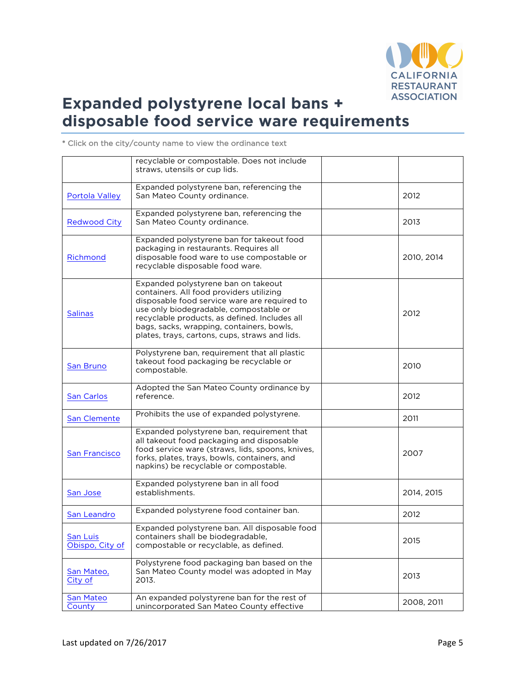

|                       | recyclable or compostable. Does not include                                            |            |
|-----------------------|----------------------------------------------------------------------------------------|------------|
|                       | straws, utensils or cup lids.                                                          |            |
|                       | Expanded polystyrene ban, referencing the                                              |            |
| <b>Portola Valley</b> | San Mateo County ordinance.                                                            | 2012       |
|                       |                                                                                        |            |
|                       | Expanded polystyrene ban, referencing the                                              |            |
| <b>Redwood City</b>   | San Mateo County ordinance.                                                            | 2013       |
|                       |                                                                                        |            |
|                       | Expanded polystyrene ban for takeout food                                              |            |
|                       | packaging in restaurants. Requires all                                                 |            |
| Richmond              | disposable food ware to use compostable or                                             | 2010, 2014 |
|                       | recyclable disposable food ware.                                                       |            |
|                       |                                                                                        |            |
|                       | Expanded polystyrene ban on takeout                                                    |            |
|                       | containers. All food providers utilizing                                               |            |
|                       | disposable food service ware are required to<br>use only biodegradable, compostable or |            |
| <b>Salinas</b>        | recyclable products, as defined. Includes all                                          | 2012       |
|                       | bags, sacks, wrapping, containers, bowls,                                              |            |
|                       | plates, trays, cartons, cups, straws and lids.                                         |            |
|                       |                                                                                        |            |
|                       | Polystyrene ban, requirement that all plastic                                          |            |
| San Bruno             | takeout food packaging be recyclable or                                                | 2010       |
|                       | compostable.                                                                           |            |
|                       |                                                                                        |            |
|                       | Adopted the San Mateo County ordinance by                                              |            |
| <b>San Carlos</b>     | reference.                                                                             | 2012       |
|                       | Prohibits the use of expanded polystyrene.                                             |            |
| San Clemente          |                                                                                        | 2011       |
|                       | Expanded polystyrene ban, requirement that                                             |            |
|                       | all takeout food packaging and disposable                                              |            |
| <b>San Francisco</b>  | food service ware (straws, lids, spoons, knives,                                       | 2007       |
|                       | forks, plates, trays, bowls, containers, and                                           |            |
|                       | napkins) be recyclable or compostable.                                                 |            |
|                       |                                                                                        |            |
|                       | Expanded polystyrene ban in all food<br>establishments.                                | 2014, 2015 |
| San Jose              |                                                                                        |            |
|                       | Expanded polystyrene food container ban.                                               |            |
| San Leandro           |                                                                                        | 2012       |
|                       | Expanded polystyrene ban. All disposable food                                          |            |
| San Luis              | containers shall be biodegradable.                                                     | 2015       |
| Obispo, City of       | compostable or recyclable, as defined.                                                 |            |
|                       |                                                                                        |            |
|                       | Polystyrene food packaging ban based on the                                            |            |
| San Mateo,            | San Mateo County model was adopted in May                                              | 2013       |
| City of               | 2013.                                                                                  |            |
| San Mateo             | An expanded polystyrene ban for the rest of                                            |            |
| County                | unincorporated San Mateo County effective                                              | 2008, 2011 |
|                       |                                                                                        |            |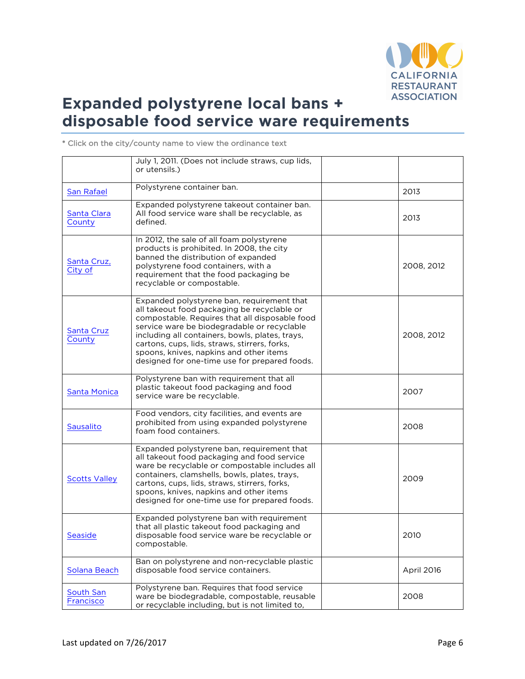

July 1, 2011. (Does not include straws, cup lids, or utensils.) San Rafael Polystyrene container ban. 2013 Santa Clara **County** Expanded polystyrene takeout container ban. All food service ware shall be recyclable, as defined. <sup>2013</sup> Santa Cruz, City of In 2012, the sale of all foam polystyrene products is prohibited. In 2008, the city banned the distribution of expanded polystyrene food containers, with a requirement that the food packaging be recyclable or compostable. 2008, 2012 Santa Cruz **County** Expanded polystyrene ban, requirement that all takeout food packaging be recyclable or compostable. Requires that all disposable food service ware be biodegradable or recyclable including all containers, bowls, plates, trays, cartons, cups, lids, straws, stirrers, forks, spoons, knives, napkins and other items designed for one-time use for prepared foods. 2008, 2012 Santa Monica Polystyrene ban with requirement that all plastic takeout food packaging and food plastic takeout food packaging and food.<br>Service ware be recyclable. **Sausalito** Food vendors, city facilities, and events are prohibited from using expanded polystyrene foam food containers.<br>2008 - Foam food containers. Scotts Valley Expanded polystyrene ban, requirement that all takeout food packaging and food service ware be recyclable or compostable includes all containers, clamshells, bowls, plates, trays, cartons, cups, lids, straws, stirrers, forks, spoons, knives, napkins and other items designed for one-time use for prepared foods. 2009 **Seaside** Expanded polystyrene ban with requirement that all plastic takeout food packaging and disposable food service ware be recyclable or 2010

\* Click on the city/county name to view the ordinance text

compostable. Solana Beach Ban on polystyrene and non-recyclable plastic disposable food service containers. April 2016 South San **Francisco** Polystyrene ban. Requires that food service ware be biodegradable, compostable, reusable or recyclable including, but is not limited to, 2008